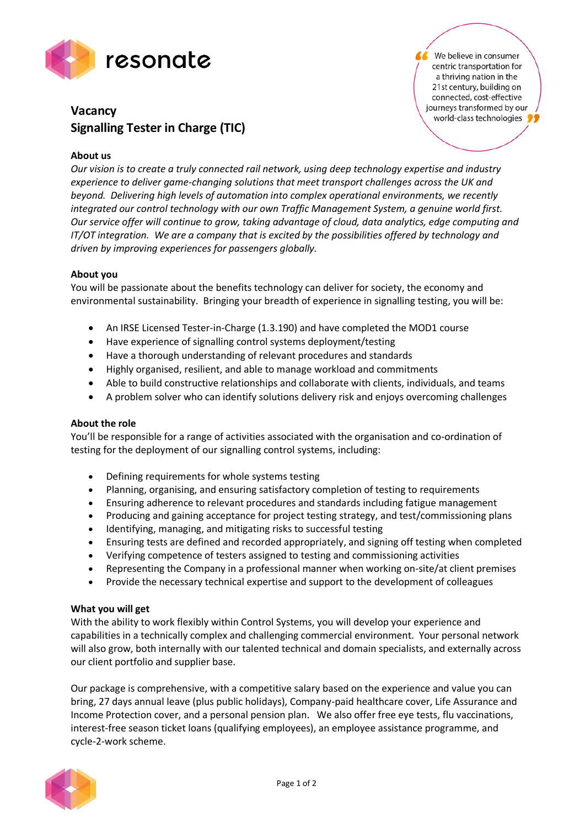

We believe in consumer centric transportation for a thriving nation in the 21st century, building on connected, cost-effective journeys transformed by our world-class technologies

# **Vacancy Signalling Tester in Charge (TIC)**

## **About us**

*Our vision is to create a truly connected rail network, using deep technology expertise and industry experience to deliver game-changing solutions that meet transport challenges across the UK and beyond. Delivering high levels of automation into complex operational environments, we recently integrated our control technology with our own Traffic Management System, a genuine world first. Our service offer will continue to grow, taking advantage of cloud, data analytics, edge computing and IT/OT integration. We are a company that is excited by the possibilities offered by technology and driven by improving experiences for passengers globally.*

### **About you**

You will be passionate about the benefits technology can deliver for society, the economy and environmental sustainability. Bringing your breadth of experience in signalling testing, you will be:

- An IRSE Licensed Tester-in-Charge (1.3.190) and have completed the MOD1 course
- Have experience of signalling control systems deployment/testing
- Have a thorough understanding of relevant procedures and standards
- Highly organised, resilient, and able to manage workload and commitments
- Able to build constructive relationships and collaborate with clients, individuals, and teams
- A problem solver who can identify solutions delivery risk and enjoys overcoming challenges

### **About the role**

You'll be responsible for a range of activities associated with the organisation and co-ordination of testing for the deployment of our signalling control systems, including:

- Defining requirements for whole systems testing
- Planning, organising, and ensuring satisfactory completion of testing to requirements
- Ensuring adherence to relevant procedures and standards including fatigue management
- Producing and gaining acceptance for project testing strategy, and test/commissioning plans
- Identifying, managing, and mitigating risks to successful testing
- Ensuring tests are defined and recorded appropriately, and signing off testing when completed
- Verifying competence of testers assigned to testing and commissioning activities
- Representing the Company in a professional manner when working on-site/at client premises
- Provide the necessary technical expertise and support to the development of colleagues

#### **What you will get**

With the ability to work flexibly within Control Systems, you will develop your experience and capabilities in a technically complex and challenging commercial environment. Your personal network will also grow, both internally with our talented technical and domain specialists, and externally across our client portfolio and supplier base.

Our package is comprehensive, with a competitive salary based on the experience and value you can bring, 27 days annual leave (plus public holidays), Company-paid healthcare cover, Life Assurance and Income Protection cover, and a personal pension plan. We also offer free eye tests, flu vaccinations, interest-free season ticket loans (qualifying employees), an employee assistance programme, and cycle-2-work scheme.